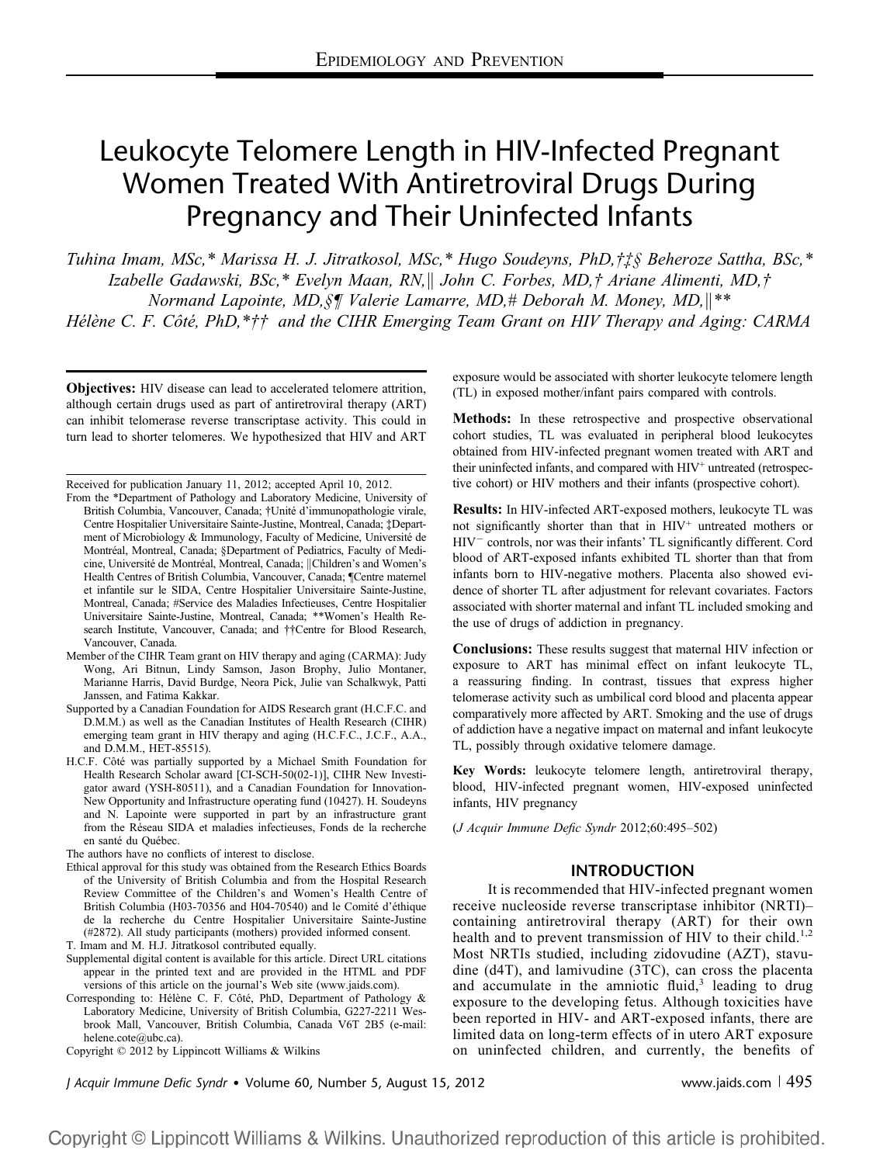# Leukocyte Telomere Length in HIV-Infected Pregnant Women Treated With Antiretroviral Drugs During Pregnancy and Their Uninfected Infants

Tuhina Imam, MSc,\* Marissa H. J. Jitratkosol, MSc,\* Hugo Soudeyns, PhD,†‡§ Beheroze Sattha, BSc,\* Izabelle Gadawski, BSc,\* Evelyn Maan, RN,|| John C. Forbes, MD,† Ariane Alimenti, MD,† Normand Lapointe, MD, §¶ Valerie Lamarre, MD, # Deborah M. Money, MD,  $\Vert$ \*\* Hélène C. F. Côté, PhD,\*†† and the CIHR Emerging Team Grant on HIV Therapy and Aging: CARMA

Objectives: HIV disease can lead to accelerated telomere attrition, although certain drugs used as part of antiretroviral therapy (ART) can inhibit telomerase reverse transcriptase activity. This could in turn lead to shorter telomeres. We hypothesized that HIV and ART

Received for publication January 11, 2012; accepted April 10, 2012.

exposure would be associated with shorter leukocyte telomere length (TL) in exposed mother/infant pairs compared with controls.

Methods: In these retrospective and prospective observational cohort studies, TL was evaluated in peripheral blood leukocytes obtained from HIV-infected pregnant women treated with ART and their uninfected infants, and compared with HIV<sup>+</sup> untreated (retrospective cohort) or HIV mothers and their infants (prospective cohort).

Results: In HIV-infected ART-exposed mothers, leukocyte TL was not significantly shorter than that in HIV<sup>+</sup> untreated mothers or  $HIV^-$  controls, nor was their infants' TL significantly different. Cord blood of ART-exposed infants exhibited TL shorter than that from infants born to HIV-negative mothers. Placenta also showed evidence of shorter TL after adjustment for relevant covariates. Factors associated with shorter maternal and infant TL included smoking and the use of drugs of addiction in pregnancy.

Conclusions: These results suggest that maternal HIV infection or exposure to ART has minimal effect on infant leukocyte TL, a reassuring finding. In contrast, tissues that express higher telomerase activity such as umbilical cord blood and placenta appear comparatively more affected by ART. Smoking and the use of drugs of addiction have a negative impact on maternal and infant leukocyte TL, possibly through oxidative telomere damage.

Key Words: leukocyte telomere length, antiretroviral therapy, blood, HIV-infected pregnant women, HIV-exposed uninfected infants, HIV pregnancy

(J Acquir Immune Defic Syndr 2012;60:495–502)

# INTRODUCTION

It is recommended that HIV-infected pregnant women receive nucleoside reverse transcriptase inhibitor (NRTI)– containing antiretroviral therapy (ART) for their own health and to prevent transmission of HIV to their child.<sup>1,2</sup> Most NRTIs studied, including zidovudine (AZT), stavudine (d4T), and lamivudine (3TC), can cross the placenta and accumulate in the amniotic fluid, $3$  leading to drug exposure to the developing fetus. Although toxicities have been reported in HIV- and ART-exposed infants, there are limited data on long-term effects of in utero ART exposure on uninfected children, and currently, the benefits of

J Acquir Immune Defic Syndr - Volume 60, Number 5, August 15, 2012 www.jaids.com <sup>|</sup> 495

From the \*Department of Pathology and Laboratory Medicine, University of British Columbia, Vancouver, Canada; †Unité d'immunopathologie virale, Centre Hospitalier Universitaire Sainte-Justine, Montreal, Canada; ‡Department of Microbiology & Immunology, Faculty of Medicine, Université de Montréal, Montreal, Canada; §Department of Pediatrics, Faculty of Medicine, Université de Montréal, Montreal, Canada; ||Children's and Women's Health Centres of British Columbia, Vancouver, Canada; ¶Centre maternel et infantile sur le SIDA, Centre Hospitalier Universitaire Sainte-Justine, Montreal, Canada; #Service des Maladies Infectieuses, Centre Hospitalier Universitaire Sainte-Justine, Montreal, Canada; \*\*Women's Health Research Institute, Vancouver, Canada; and ††Centre for Blood Research, Vancouver, Canada.

Member of the CIHR Team grant on HIV therapy and aging (CARMA): Judy Wong, Ari Bitnun, Lindy Samson, Jason Brophy, Julio Montaner, Marianne Harris, David Burdge, Neora Pick, Julie van Schalkwyk, Patti Janssen, and Fatima Kakkar.

Supported by a Canadian Foundation for AIDS Research grant (H.C.F.C. and D.M.M.) as well as the Canadian Institutes of Health Research (CIHR) emerging team grant in HIV therapy and aging (H.C.F.C., J.C.F., A.A., and D.M.M., HET-85515).

H.C.F. Côté was partially supported by a Michael Smith Foundation for Health Research Scholar award [CI-SCH-50(02-1)], CIHR New Investigator award (YSH-80511), and a Canadian Foundation for Innovation-New Opportunity and Infrastructure operating fund (10427). H. Soudeyns and N. Lapointe were supported in part by an infrastructure grant from the Réseau SIDA et maladies infectieuses, Fonds de la recherche en santé du Québec.

The authors have no conflicts of interest to disclose.

Ethical approval for this study was obtained from the Research Ethics Boards of the University of British Columbia and from the Hospital Research Review Committee of the Children's and Women's Health Centre of British Columbia (H03-70356 and H04-70540) and le Comité d'éthique de la recherche du Centre Hospitalier Universitaire Sainte-Justine (#2872). All study participants (mothers) provided informed consent.

T. Imam and M. H.J. Jitratkosol contributed equally.

Supplemental digital content is available for this article. Direct URL citations appear in the printed text and are provided in the HTML and PDF versions of this article on the journal's Web site (www.jaids.com).

Corresponding to: Hélène C. F. Côté, PhD, Department of Pathology & Laboratory Medicine, University of British Columbia, G227-2211 Wesbrook Mall, Vancouver, British Columbia, Canada V6T 2B5 (e-mail: helene.cote@ubc.ca).

Copyright © 2012 by Lippincott Williams & Wilkins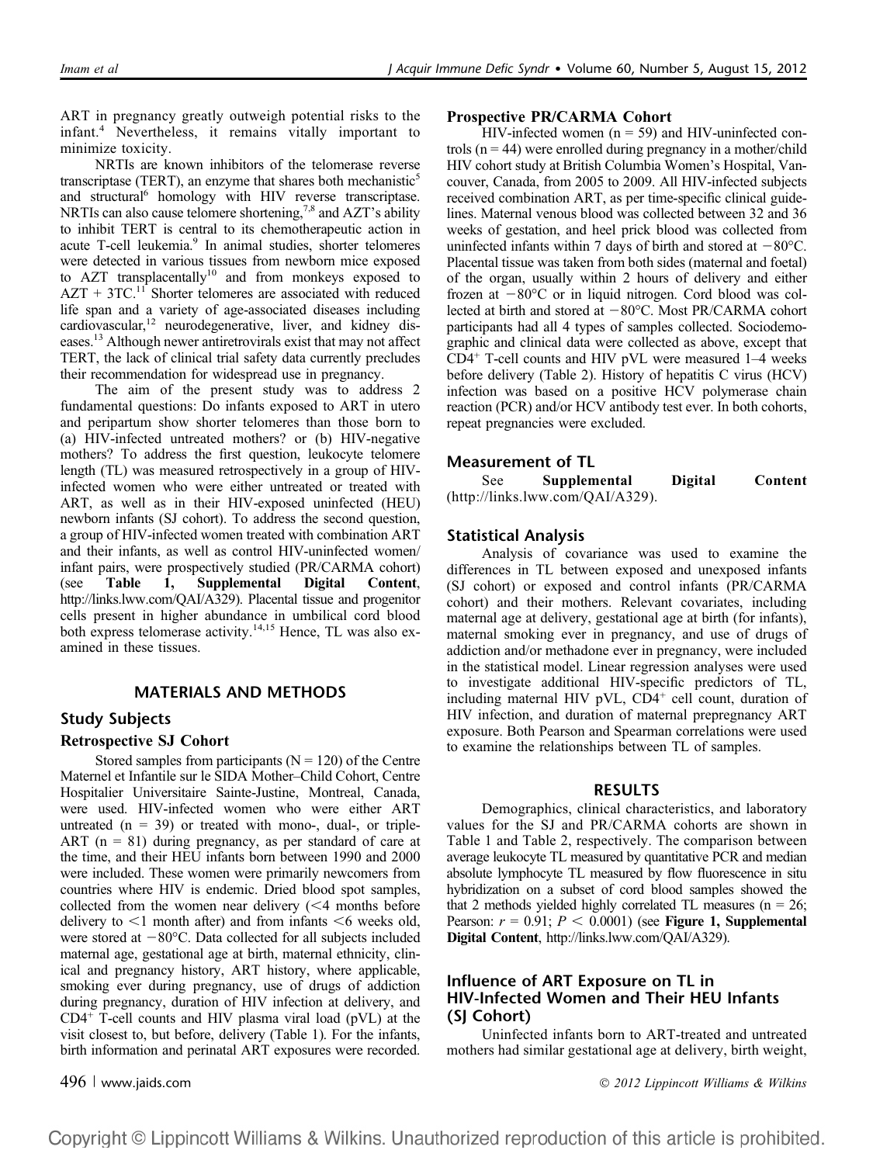ART in pregnancy greatly outweigh potential risks to the infant.<sup>4</sup> Nevertheless, it remains vitally important to minimize toxicity.

NRTIs are known inhibitors of the telomerase reverse transcriptase (TERT), an enzyme that shares both mechanistic<sup>5</sup> and structural<sup>6</sup> homology with HIV reverse transcriptase. NRTIs can also cause telomere shortening,<sup>7,8</sup> and AZT's ability to inhibit TERT is central to its chemotherapeutic action in acute T-cell leukemia.<sup>9</sup> In animal studies, shorter telomeres were detected in various tissues from newborn mice exposed to AZT transplacentally<sup>10</sup> and from monkeys exposed to  $AZT + 3TC<sup>11</sup>$  Shorter telomeres are associated with reduced life span and a variety of age-associated diseases including cardiovascular,<sup>12</sup> neurodegenerative, liver, and kidney diseases.13 Although newer antiretrovirals exist that may not affect TERT, the lack of clinical trial safety data currently precludes their recommendation for widespread use in pregnancy.

The aim of the present study was to address 2 fundamental questions: Do infants exposed to ART in utero and peripartum show shorter telomeres than those born to (a) HIV-infected untreated mothers? or (b) HIV-negative mothers? To address the first question, leukocyte telomere length (TL) was measured retrospectively in a group of HIVinfected women who were either untreated or treated with ART, as well as in their HIV-exposed uninfected (HEU) newborn infants (SJ cohort). To address the second question, a group of HIV-infected women treated with combination ART and their infants, as well as control HIV-uninfected women/ infant pairs, were prospectively studied (PR/CARMA cohort) (see Table 1, Supplemental Digital Content, http://links.lww.com/QAI/A329). Placental tissue and progenitor cells present in higher abundance in umbilical cord blood both express telomerase activity.<sup>14,15</sup> Hence, TL was also examined in these tissues.

# MATERIALS AND METHODS

# Study Subjects

# Retrospective SJ Cohort

Stored samples from participants ( $N = 120$ ) of the Centre Maternel et Infantile sur le SIDA Mother–Child Cohort, Centre Hospitalier Universitaire Sainte-Justine, Montreal, Canada, were used. HIV-infected women who were either ART untreated  $(n = 39)$  or treated with mono-, dual-, or triple-ART  $(n = 81)$  during pregnancy, as per standard of care at the time, and their HEU infants born between 1990 and 2000 were included. These women were primarily newcomers from countries where HIV is endemic. Dried blood spot samples, collected from the women near delivery  $\ll 4$  months before delivery to  $\leq 1$  month after) and from infants  $\leq 6$  weeks old, were stored at  $-80^{\circ}$ C. Data collected for all subjects included maternal age, gestational age at birth, maternal ethnicity, clinical and pregnancy history, ART history, where applicable, smoking ever during pregnancy, use of drugs of addiction during pregnancy, duration of HIV infection at delivery, and CD4+ T-cell counts and HIV plasma viral load (pVL) at the visit closest to, but before, delivery (Table 1). For the infants, birth information and perinatal ART exposures were recorded.

#### Prospective PR/CARMA Cohort

HIV-infected women  $(n = 59)$  and HIV-uninfected controls ( $n = 44$ ) were enrolled during pregnancy in a mother/child HIV cohort study at British Columbia Women's Hospital, Vancouver, Canada, from 2005 to 2009. All HIV-infected subjects received combination ART, as per time-specific clinical guidelines. Maternal venous blood was collected between 32 and 36 weeks of gestation, and heel prick blood was collected from uninfected infants within 7 days of birth and stored at  $-80^{\circ}$ C. Placental tissue was taken from both sides (maternal and foetal) of the organ, usually within 2 hours of delivery and either frozen at  $-80^{\circ}$ C or in liquid nitrogen. Cord blood was collected at birth and stored at  $-80^{\circ}$ C. Most PR/CARMA cohort participants had all 4 types of samples collected. Sociodemographic and clinical data were collected as above, except that CD4+ T-cell counts and HIV pVL were measured 1–4 weeks before delivery (Table 2). History of hepatitis C virus (HCV) infection was based on a positive HCV polymerase chain reaction (PCR) and/or HCV antibody test ever. In both cohorts, repeat pregnancies were excluded.

# Measurement of TL

See Supplemental Digital Content (http://links.lww.com/QAI/A329).

# Statistical Analysis

Analysis of covariance was used to examine the differences in TL between exposed and unexposed infants (SJ cohort) or exposed and control infants (PR/CARMA cohort) and their mothers. Relevant covariates, including maternal age at delivery, gestational age at birth (for infants), maternal smoking ever in pregnancy, and use of drugs of addiction and/or methadone ever in pregnancy, were included in the statistical model. Linear regression analyses were used to investigate additional HIV-specific predictors of TL, including maternal HIV pVL, CD4<sup>+</sup> cell count, duration of HIV infection, and duration of maternal prepregnancy ART exposure. Both Pearson and Spearman correlations were used to examine the relationships between TL of samples.

# RESULTS

Demographics, clinical characteristics, and laboratory values for the SJ and PR/CARMA cohorts are shown in Table 1 and Table 2, respectively. The comparison between average leukocyte TL measured by quantitative PCR and median absolute lymphocyte TL measured by flow fluorescence in situ hybridization on a subset of cord blood samples showed the that 2 methods yielded highly correlated TL measures ( $n = 26$ ; Pearson:  $r = 0.91$ ;  $P < 0.0001$ ) (see Figure 1, Supplemental Digital Content, http://links.lww.com/QAI/A329).

# Influence of ART Exposure on TL in HIV-Infected Women and Their HEU Infants (SJ Cohort)

Uninfected infants born to ART-treated and untreated mothers had similar gestational age at delivery, birth weight,

496 <sup>|</sup> www.jaids.com 2012 Lippincott Williams & Wilkins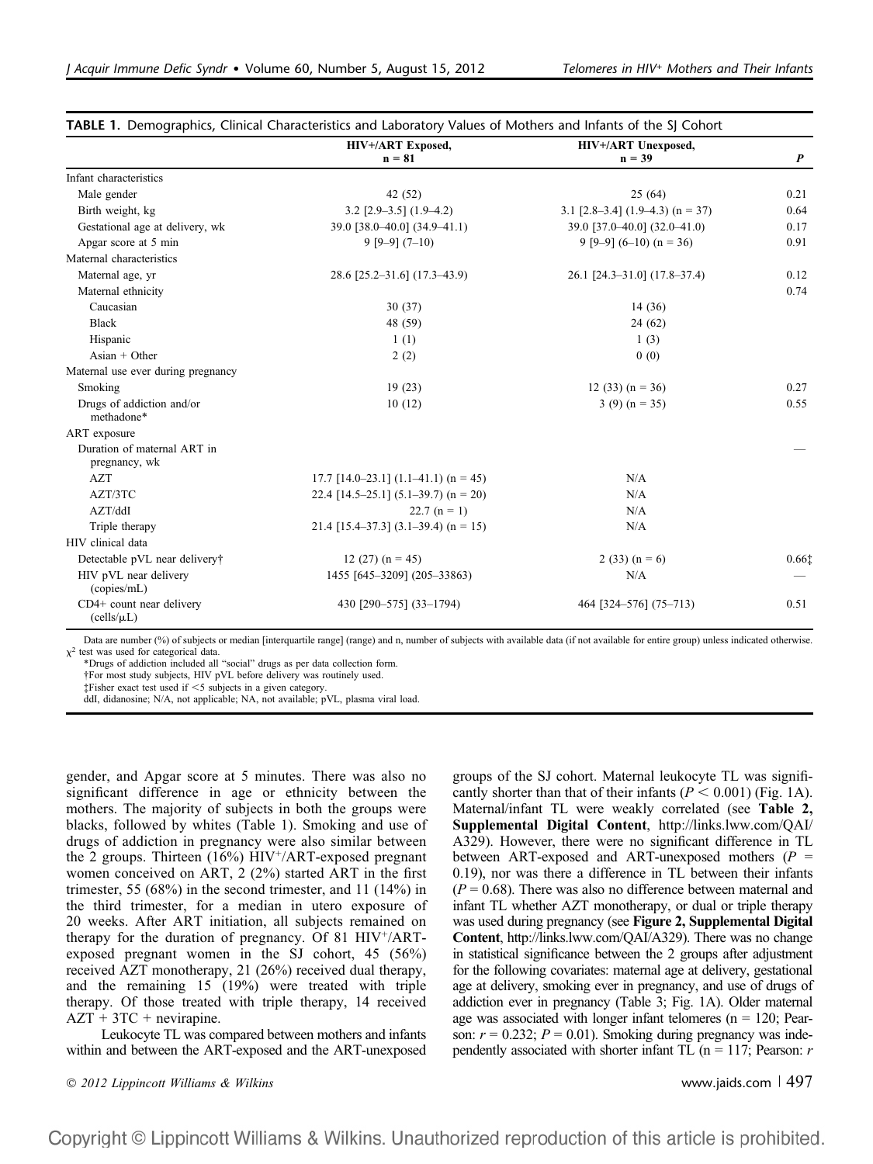|                                              | HIV+/ART Exposed,                                    | HIV+/ART Unexposed,                |                  |  |
|----------------------------------------------|------------------------------------------------------|------------------------------------|------------------|--|
|                                              | $n = 81$                                             | $n = 39$                           | $\boldsymbol{P}$ |  |
| Infant characteristics                       |                                                      |                                    |                  |  |
| Male gender                                  | 42 (52)                                              | 25(64)                             | 0.21             |  |
| Birth weight, kg                             | $3.2$ [2.9–3.5] $(1.9-4.2)$                          | 3.1 $[2.8-3.4]$ (1.9-4.3) (n = 37) | 0.64             |  |
| Gestational age at delivery, wk              | 39.0 [38.0–40.0] (34.9–41.1)                         | 39.0 [37.0-40.0] (32.0-41.0)       | 0.17             |  |
| Apgar score at 5 min                         | $9$ [9-9] $(7-10)$                                   | 9 [9-9] $(6-10)$ (n = 36)          | 0.91             |  |
| Maternal characteristics                     |                                                      |                                    |                  |  |
| Maternal age, yr                             | 28.6 [25.2-31.6] (17.3-43.9)                         | $26.1$ [24.3-31.0] (17.8-37.4)     | 0.12             |  |
| Maternal ethnicity                           |                                                      |                                    | 0.74             |  |
| Caucasian                                    | 30(37)                                               | 14(36)                             |                  |  |
| <b>Black</b>                                 | 48 (59)                                              | 24(62)                             |                  |  |
| Hispanic                                     | 1(1)                                                 | 1(3)                               |                  |  |
| Asian $+$ Other                              | 2(2)                                                 | 0(0)                               |                  |  |
| Maternal use ever during pregnancy           |                                                      |                                    |                  |  |
| Smoking                                      | 19(23)                                               | $12(33)(n = 36)$                   | 0.27             |  |
| Drugs of addiction and/or<br>methadone*      | 10(12)                                               | $3(9) (n = 35)$                    | 0.55             |  |
| ART exposure                                 |                                                      |                                    |                  |  |
| Duration of maternal ART in<br>pregnancy, wk |                                                      |                                    |                  |  |
| <b>AZT</b>                                   | 17.7 $[14.0-23.1]$ $(1.1-41.1)$ $(n = 45)$           | N/A                                |                  |  |
| AZT/3TC                                      | 22.4 $[14.5-25.1]$ (5.1-39.7) (n = 20)               | N/A                                |                  |  |
| AZT/ddI                                      | $22.7(n = 1)$                                        | N/A                                |                  |  |
| Triple therapy                               | 21.4 $\lceil 15.4 - 37.3 \rceil$ (3.1-39.4) (n = 15) | N/A                                |                  |  |
| HIV clinical data                            |                                                      |                                    |                  |  |
| Detectable pVL near delivery†                | 12 $(27)$ (n = 45)                                   | 2 (33) $(n = 6)$                   | 0.661            |  |
| HIV pVL near delivery<br>(copies/mL)         | 1455 [645-3209] (205-33863)                          | N/A                                |                  |  |
| CD4+ count near delivery<br>(cells/µL)       | 430 [290-575] (33-1794)                              | 464 [324-576] (75-713)             | 0.51             |  |

| TABLE 1. Demographics, Clinical Characteristics and Laboratory Values of Mothers and Infants of the SJ Cohort |  |
|---------------------------------------------------------------------------------------------------------------|--|
|---------------------------------------------------------------------------------------------------------------|--|

Data are number (%) of subjects or median [interquartile range] (range) and n, number of subjects with available data (if not available for entire group) unless indicated otherwise.  $\chi^2$  test was used for categorical data.

\*Drugs of addiction included all "social" drugs as per data collection form.

†For most study subjects, HIV pVL before delivery was routinely used. ‡Fisher exact test used if ,5 subjects in a given category.

ddI, didanosine; N/A, not applicable; NA, not available; pVL, plasma viral load.

gender, and Apgar score at 5 minutes. There was also no significant difference in age or ethnicity between the mothers. The majority of subjects in both the groups were blacks, followed by whites (Table 1). Smoking and use of drugs of addiction in pregnancy were also similar between the 2 groups. Thirteen  $(16\%)$  HIV<sup>+</sup>/ART-exposed pregnant women conceived on ART, 2 (2%) started ART in the first trimester, 55 (68%) in the second trimester, and 11 (14%) in the third trimester, for a median in utero exposure of 20 weeks. After ART initiation, all subjects remained on therapy for the duration of pregnancy. Of 81  $HIV^+/ART$ exposed pregnant women in the SJ cohort, 45 (56%) received AZT monotherapy, 21 (26%) received dual therapy, and the remaining 15 (19%) were treated with triple therapy. Of those treated with triple therapy, 14 received  $AZT + 3TC +$  nevirapine.

Leukocyte TL was compared between mothers and infants within and between the ART-exposed and the ART-unexposed groups of the SJ cohort. Maternal leukocyte TL was significantly shorter than that of their infants ( $P < 0.001$ ) (Fig. 1A). Maternal/infant TL were weakly correlated (see Table 2, Supplemental Digital Content, http://links.lww.com/QAI/ A329). However, there were no significant difference in TL between ART-exposed and ART-unexposed mothers ( $P =$ 0.19), nor was there a difference in TL between their infants  $(P = 0.68)$ . There was also no difference between maternal and infant TL whether AZT monotherapy, or dual or triple therapy was used during pregnancy (see Figure 2, Supplemental Digital Content, http://links.lww.com/QAI/A329). There was no change in statistical significance between the 2 groups after adjustment for the following covariates: maternal age at delivery, gestational age at delivery, smoking ever in pregnancy, and use of drugs of addiction ever in pregnancy (Table 3; Fig. 1A). Older maternal age was associated with longer infant telomeres ( $n = 120$ ; Pearson:  $r = 0.232$ ;  $P = 0.01$ ). Smoking during pregnancy was independently associated with shorter infant TL ( $n = 117$ ; Pearson: r

2012 Lippincott Williams & Wilkins www.jaids.com <sup>|</sup> 497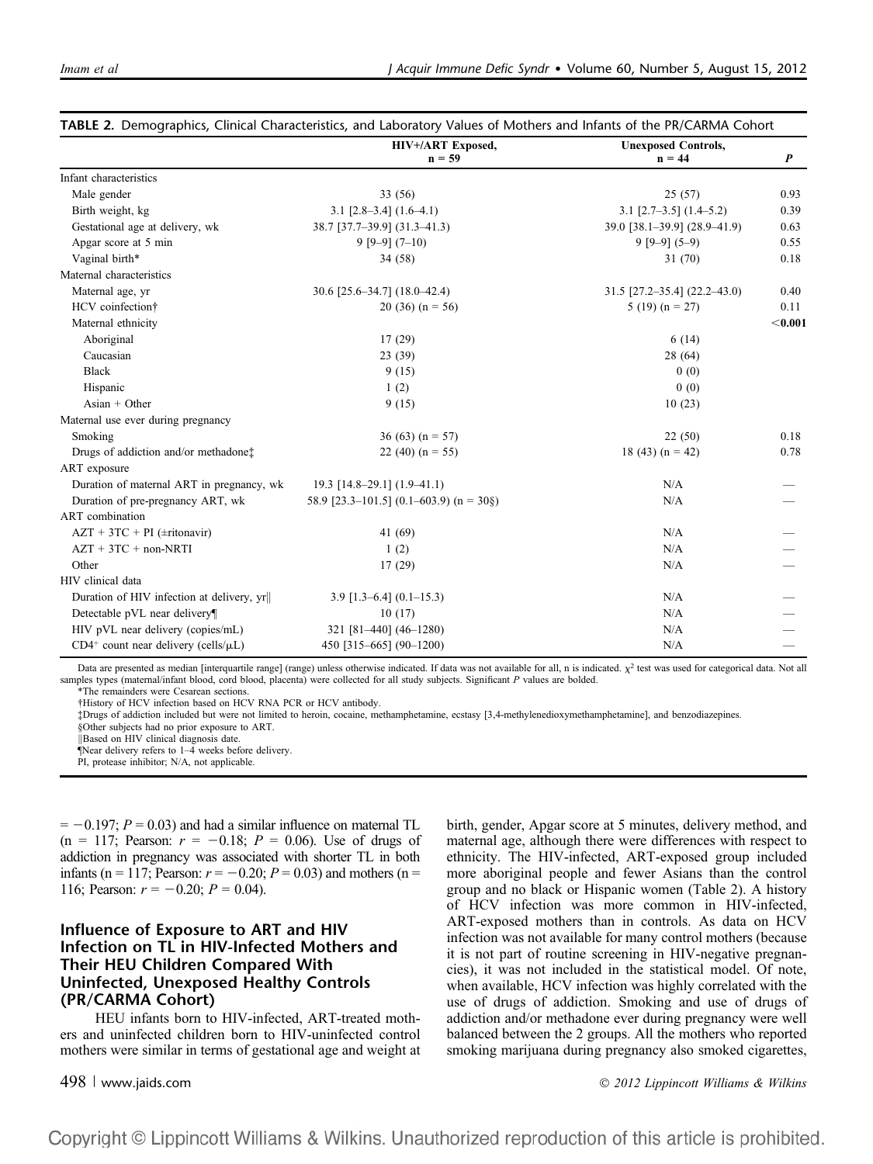|                                              | HIV+/ART Exposed,                         | <b>Unexposed Controls,</b>   |         |  |
|----------------------------------------------|-------------------------------------------|------------------------------|---------|--|
|                                              | $n = 59$                                  | $n = 44$                     | P       |  |
| Infant characteristics                       |                                           |                              |         |  |
| Male gender                                  | 33 (56)                                   | 25(57)                       | 0.93    |  |
| Birth weight, kg                             | $3.1$ [2.8-3.4] $(1.6-4.1)$               | $3.1$ [2.7-3.5] $(1.4-5.2)$  | 0.39    |  |
| Gestational age at delivery, wk              | 38.7 [37.7-39.9] (31.3-41.3)              | 39.0 [38.1-39.9] (28.9-41.9) | 0.63    |  |
| Apgar score at 5 min                         | $9$ [9-9] $(7-10)$                        | $9$ [9-9] (5-9)              | 0.55    |  |
| Vaginal birth*                               | 34(58)                                    | 31(70)                       | 0.18    |  |
| Maternal characteristics                     |                                           |                              |         |  |
| Maternal age, yr                             | $30.6$ [25.6–34.7] $(18.0–42.4)$          | 31.5 [27.2-35.4] (22.2-43.0) | 0.40    |  |
| HCV coinfection†                             | $20(36)(n = 56)$                          | $5(19)$ (n = 27)             | 0.11    |  |
| Maternal ethnicity                           |                                           |                              | < 0.001 |  |
| Aboriginal                                   | 17(29)                                    | 6(14)                        |         |  |
| Caucasian                                    | 23(39)                                    | 28 (64)                      |         |  |
| Black                                        | 9(15)                                     | 0(0)                         |         |  |
| Hispanic                                     | 1(2)                                      | 0(0)                         |         |  |
| Asian $+$ Other                              | 9(15)                                     | 10(23)                       |         |  |
| Maternal use ever during pregnancy           |                                           |                              |         |  |
| Smoking                                      | $36(63)(n = 57)$                          | 22(50)                       | 0.18    |  |
| Drugs of addiction and/or methadone‡         | 22 (40) $(n = 55)$                        | 18 (43) $(n = 42)$           | 0.78    |  |
| ART exposure                                 |                                           |                              |         |  |
| Duration of maternal ART in pregnancy, wk    | $19.3$ [14.8-29.1] $(1.9-41.1)$           | N/A                          |         |  |
| Duration of pre-pregnancy ART, wk            | 58.9 [23.3-101.5] $(0.1-603.9)$ (n = 30§) | N/A                          |         |  |
| ART combination                              |                                           |                              |         |  |
| $AZT + 3TC + PI$ (±ritonavir)                | 41 (69)                                   | N/A                          |         |  |
| $AZT + 3TC + non-NRTI$                       | 1(2)                                      | N/A                          |         |  |
| Other                                        | 17(29)                                    | N/A                          |         |  |
| HIV clinical data                            |                                           |                              |         |  |
| Duration of HIV infection at delivery, yr    | $3.9$ [1.3–6.4] $(0.1–15.3)$              | N/A                          |         |  |
| Detectable pVL near delivery                 | 10(17)                                    | N/A                          |         |  |
| HIV pVL near delivery (copies/mL)            | 321 [81-440] (46-1280)                    | N/A                          |         |  |
| $CD4^+$ count near delivery (cells/ $\mu$ L) | 450 [315-665] (90-1200)                   | N/A                          |         |  |

| TABLE 2. Demographics, Clinical Characteristics, and Laboratory Values of Mothers and Infants of the PR/CARMA Cohort |  |  |  |  |
|----------------------------------------------------------------------------------------------------------------------|--|--|--|--|
|                                                                                                                      |  |  |  |  |

Data are presented as median [interquartile range] (range) unless otherwise indicated. If data was not available for all, n is indicated.  $\chi^2$  test was used for categorical data. Not all samples types (maternal/infant blood, cord blood, placenta) were collected for all study subjects. Significant P values are bolded. \*The remainders were Cesarean sections.

†History of HCV infection based on HCV RNA PCR or HCV antibody.

‡Drugs of addiction included but were not limited to heroin, cocaine, methamphetamine, ecstasy [3,4-methylenedioxymethamphetamine], and benzodiazepines.

§Other subjects had no prior exposure to ART.

Based on HIV clinical diagnosis date.

¶Near delivery refers to 1–4 weeks before delivery.

PI, protease inhibitor; N/A, not applicable.

 $= -0.197; P = 0.03$  and had a similar influence on maternal TL  $(n = 117;$  Pearson:  $r = -0.18;$   $P = 0.06$ ). Use of drugs of addiction in pregnancy was associated with shorter TL in both infants (n = 117; Pearson:  $r = -0.20$ ;  $P = 0.03$ ) and mothers (n = 116; Pearson:  $r = -0.20$ ;  $P = 0.04$ ).

# Influence of Exposure to ART and HIV Infection on TL in HIV-Infected Mothers and Their HEU Children Compared With Uninfected, Unexposed Healthy Controls (PR/CARMA Cohort)

HEU infants born to HIV-infected, ART-treated mothers and uninfected children born to HIV-uninfected control mothers were similar in terms of gestational age and weight at birth, gender, Apgar score at 5 minutes, delivery method, and maternal age, although there were differences with respect to ethnicity. The HIV-infected, ART-exposed group included more aboriginal people and fewer Asians than the control group and no black or Hispanic women (Table 2). A history of HCV infection was more common in HIV-infected, ART-exposed mothers than in controls. As data on HCV infection was not available for many control mothers (because it is not part of routine screening in HIV-negative pregnancies), it was not included in the statistical model. Of note, when available, HCV infection was highly correlated with the use of drugs of addiction. Smoking and use of drugs of addiction and/or methadone ever during pregnancy were well balanced between the 2 groups. All the mothers who reported smoking marijuana during pregnancy also smoked cigarettes,

498 | www.jaids.com 2012 Lippincott Williams & Wilkins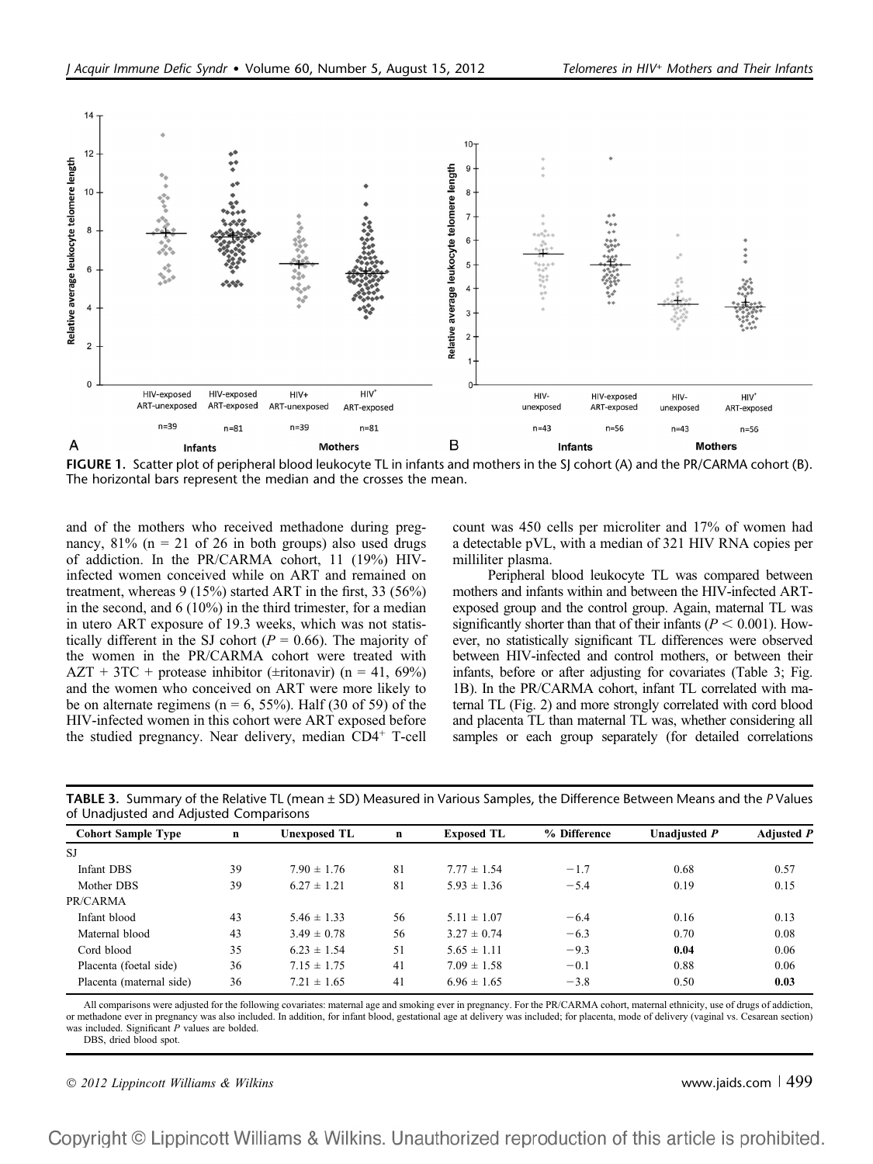

FIGURE 1. Scatter plot of peripheral blood leukocyte TL in infants and mothers in the SJ cohort (A) and the PR/CARMA cohort (B). The horizontal bars represent the median and the crosses the mean.

and of the mothers who received methadone during pregnancy,  $81\%$  (n = 21 of 26 in both groups) also used drugs of addiction. In the PR/CARMA cohort, 11 (19%) HIVinfected women conceived while on ART and remained on treatment, whereas 9 (15%) started ART in the first, 33 (56%) in the second, and 6 (10%) in the third trimester, for a median in utero ART exposure of 19.3 weeks, which was not statistically different in the SJ cohort ( $P = 0.66$ ). The majority of the women in the PR/CARMA cohort were treated with  $AZT + 3TC +$  protease inhibitor (±ritonavir) (n = 41, 69%) and the women who conceived on ART were more likely to be on alternate regimens ( $n = 6$ , 55%). Half (30 of 59) of the HIV-infected women in this cohort were ART exposed before the studied pregnancy. Near delivery, median CD4<sup>+</sup> T-cell count was 450 cells per microliter and 17% of women had a detectable pVL, with a median of 321 HIV RNA copies per milliliter plasma.

Peripheral blood leukocyte TL was compared between mothers and infants within and between the HIV-infected ARTexposed group and the control group. Again, maternal TL was significantly shorter than that of their infants ( $P < 0.001$ ). However, no statistically significant TL differences were observed between HIV-infected and control mothers, or between their infants, before or after adjusting for covariates (Table 3; Fig. 1B). In the PR/CARMA cohort, infant TL correlated with maternal TL (Fig. 2) and more strongly correlated with cord blood and placenta TL than maternal TL was, whether considering all samples or each group separately (for detailed correlations

|                                        | TABLE 3. Summary of the Relative TL (mean ± SD) Measured in Various Samples, the Difference Between Means and the P Values |  |  |
|----------------------------------------|----------------------------------------------------------------------------------------------------------------------------|--|--|
| of Unadjusted and Adjusted Comparisons |                                                                                                                            |  |  |

| or onaqueted and Adjusted Companions |              |                   |  |  |  |
|--------------------------------------|--------------|-------------------|--|--|--|
| % Difference                         | Unadjusted P | <b>Adjusted P</b> |  |  |  |
|                                      |              |                   |  |  |  |
| $-1.7$                               | 0.68         | 0.57              |  |  |  |
| $-5.4$                               | 0.19         | 0.15              |  |  |  |
|                                      |              |                   |  |  |  |
| $-6.4$                               | 0.16         | 0.13              |  |  |  |
| $-6.3$                               | 0.70         | 0.08              |  |  |  |
| $-9.3$                               | 0.04         | 0.06              |  |  |  |
| $-0.1$                               | 0.88         | 0.06              |  |  |  |
| $-3.8$                               |              | 0.03              |  |  |  |
|                                      |              | 0.50              |  |  |  |

All comparisons were adjusted for the following covariates: maternal age and smoking ever in pregnancy. For the PR/CARMA cohort, maternal ethnicity, use of drugs of addiction, or methadone ever in pregnancy was also included. In addition, for infant blood, gestational age at delivery was included; for placenta, mode of delivery (vaginal vs. Cesarean section) was included. Significant P values are bolded.

DBS, dried blood spot.

2012 Lippincott Williams & Wilkins www.jaids.com <sup>|</sup> 499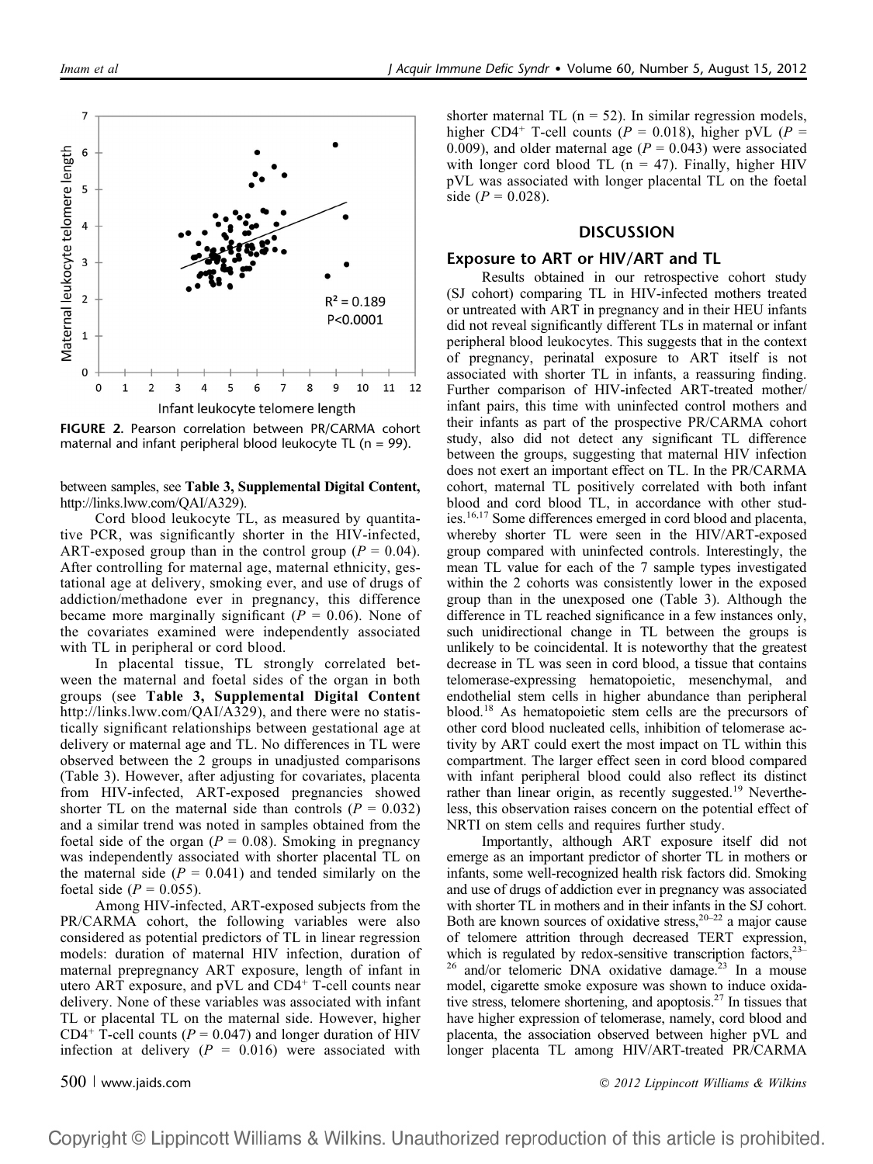

FIGURE 2. Pearson correlation between PR/CARMA cohort maternal and infant peripheral blood leukocyte TL ( $n = 99$ ).

between samples, see Table 3, Supplemental Digital Content, http://links.lww.com/QAI/A329).

Cord blood leukocyte TL, as measured by quantitative PCR, was significantly shorter in the HIV-infected, ART-exposed group than in the control group ( $P = 0.04$ ). After controlling for maternal age, maternal ethnicity, gestational age at delivery, smoking ever, and use of drugs of addiction/methadone ever in pregnancy, this difference became more marginally significant ( $P = 0.06$ ). None of the covariates examined were independently associated with TL in peripheral or cord blood.

In placental tissue, TL strongly correlated between the maternal and foetal sides of the organ in both groups (see Table 3, Supplemental Digital Content http://links.lww.com/QAI/A329), and there were no statistically significant relationships between gestational age at delivery or maternal age and TL. No differences in TL were observed between the 2 groups in unadjusted comparisons (Table 3). However, after adjusting for covariates, placenta from HIV-infected, ART-exposed pregnancies showed shorter TL on the maternal side than controls  $(P = 0.032)$ and a similar trend was noted in samples obtained from the foetal side of the organ ( $P = 0.08$ ). Smoking in pregnancy was independently associated with shorter placental TL on the maternal side  $(P = 0.041)$  and tended similarly on the foetal side ( $P = 0.055$ ).

Among HIV-infected, ART-exposed subjects from the PR/CARMA cohort, the following variables were also considered as potential predictors of TL in linear regression models: duration of maternal HIV infection, duration of maternal prepregnancy ART exposure, length of infant in utero ART exposure, and pVL and CD4<sup>+</sup> T-cell counts near delivery. None of these variables was associated with infant TL or placental TL on the maternal side. However, higher CD4<sup>+</sup> T-cell counts ( $P = 0.047$ ) and longer duration of HIV infection at delivery  $(P = 0.016)$  were associated with

shorter maternal TL  $(n = 52)$ . In similar regression models, higher CD4<sup>+</sup> T-cell counts ( $P = 0.018$ ), higher pVL ( $P =$ 0.009), and older maternal age  $(P = 0.043)$  were associated with longer cord blood TL  $(n = 47)$ . Finally, higher HIV pVL was associated with longer placental TL on the foetal side ( $P = 0.028$ ).

# **DISCUSSION**

#### Exposure to ART or HIV/ART and TL

Results obtained in our retrospective cohort study (SJ cohort) comparing TL in HIV-infected mothers treated or untreated with ART in pregnancy and in their HEU infants did not reveal significantly different TLs in maternal or infant peripheral blood leukocytes. This suggests that in the context of pregnancy, perinatal exposure to ART itself is not associated with shorter TL in infants, a reassuring finding. Further comparison of HIV-infected ART-treated mother/ infant pairs, this time with uninfected control mothers and their infants as part of the prospective PR/CARMA cohort study, also did not detect any significant TL difference between the groups, suggesting that maternal HIV infection does not exert an important effect on TL. In the PR/CARMA cohort, maternal TL positively correlated with both infant blood and cord blood TL, in accordance with other studies.16,17 Some differences emerged in cord blood and placenta, whereby shorter TL were seen in the HIV/ART-exposed group compared with uninfected controls. Interestingly, the mean TL value for each of the 7 sample types investigated within the 2 cohorts was consistently lower in the exposed group than in the unexposed one (Table 3). Although the difference in TL reached significance in a few instances only, such unidirectional change in TL between the groups is unlikely to be coincidental. It is noteworthy that the greatest decrease in TL was seen in cord blood, a tissue that contains telomerase-expressing hematopoietic, mesenchymal, and endothelial stem cells in higher abundance than peripheral blood.<sup>18</sup> As hematopoietic stem cells are the precursors of other cord blood nucleated cells, inhibition of telomerase activity by ART could exert the most impact on TL within this compartment. The larger effect seen in cord blood compared with infant peripheral blood could also reflect its distinct rather than linear origin, as recently suggested.<sup>19</sup> Nevertheless, this observation raises concern on the potential effect of NRTI on stem cells and requires further study.

Importantly, although ART exposure itself did not emerge as an important predictor of shorter TL in mothers or infants, some well-recognized health risk factors did. Smoking and use of drugs of addiction ever in pregnancy was associated with shorter TL in mothers and in their infants in the SJ cohort. Both are known sources of oxidative stress,  $20-22$  a major cause of telomere attrition through decreased TERT expression, which is regulated by redox-sensitive transcription factors,<sup>23–</sup> <sup>26</sup> and/or telomeric DNA oxidative damage.<sup>23</sup> In a mouse model, cigarette smoke exposure was shown to induce oxidative stress, telomere shortening, and apoptosis.27 In tissues that have higher expression of telomerase, namely, cord blood and placenta, the association observed between higher pVL and longer placenta TL among HIV/ART-treated PR/CARMA

500 | www.jaids.com  $\degree$  2012 Lippincott Williams & Wilkins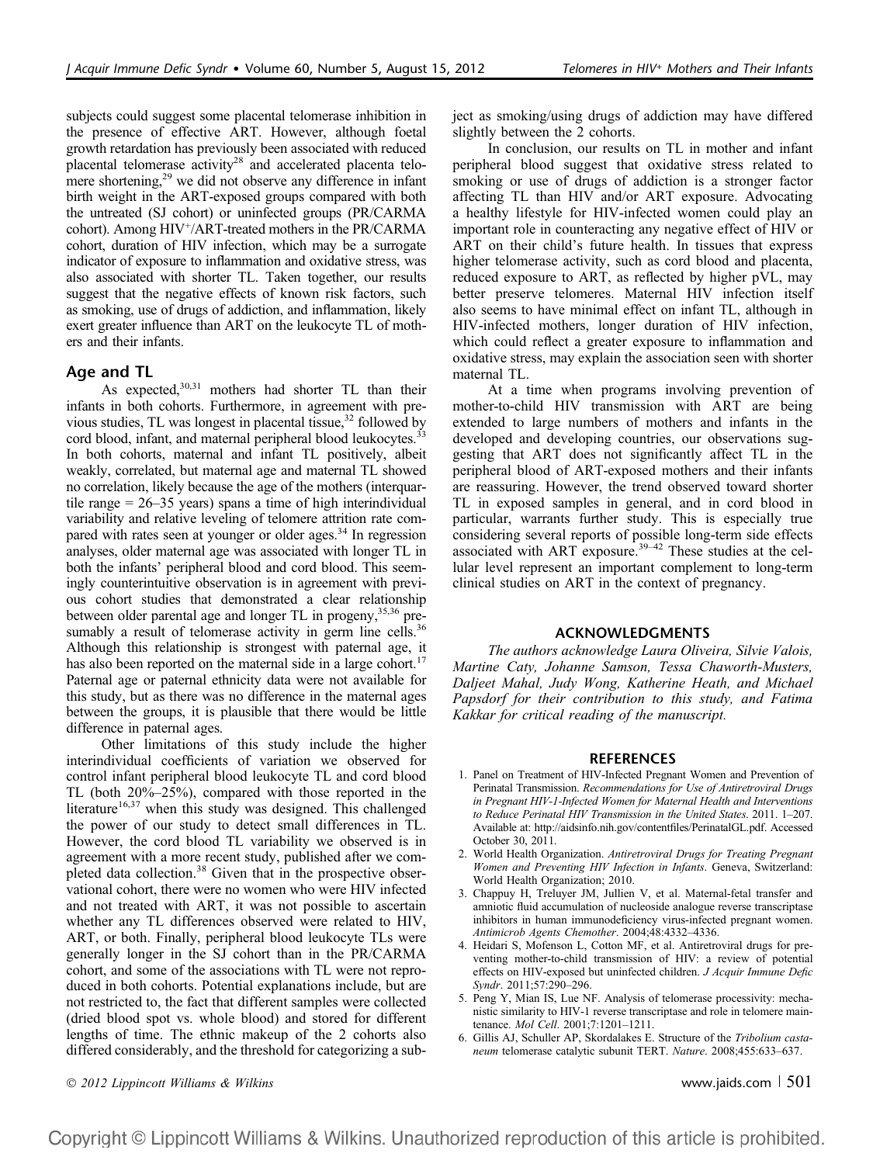subjects could suggest some placental telomerase inhibition in the presence of effective ART. However, although foetal growth retardation has previously been associated with reduced placental telomerase activity28 and accelerated placenta telomere shortening,<sup>29</sup> we did not observe any difference in infant birth weight in the ART-exposed groups compared with both the untreated (SJ cohort) or uninfected groups (PR/CARMA cohort). Among HIV+/ART-treated mothers in the PR/CARMA cohort, duration of HIV infection, which may be a surrogate indicator of exposure to inflammation and oxidative stress, was also associated with shorter TL. Taken together, our results suggest that the negative effects of known risk factors, such as smoking, use of drugs of addiction, and inflammation, likely exert greater influence than ART on the leukocyte TL of mothers and their infants.

# Age and TL

As expected,<sup>30,31</sup> mothers had shorter TL than their infants in both cohorts. Furthermore, in agreement with previous studies, TL was longest in placental tissue,  $32$  followed by cord blood, infant, and maternal peripheral blood leukocytes.<sup>33</sup> In both cohorts, maternal and infant TL positively, albeit weakly, correlated, but maternal age and maternal TL showed no correlation, likely because the age of the mothers (interquartile range  $= 26 - 35$  years) spans a time of high interindividual variability and relative leveling of telomere attrition rate compared with rates seen at younger or older ages.<sup>34</sup> In regression analyses, older maternal age was associated with longer TL in both the infants' peripheral blood and cord blood. This seemingly counterintuitive observation is in agreement with previous cohort studies that demonstrated a clear relationship between older parental age and longer TL in progeny,<sup>35,36</sup> presumably a result of telomerase activity in germ line cells.<sup>36</sup> Although this relationship is strongest with paternal age, it has also been reported on the maternal side in a large cohort.<sup>17</sup> Paternal age or paternal ethnicity data were not available for this study, but as there was no difference in the maternal ages between the groups, it is plausible that there would be little difference in paternal ages.

Other limitations of this study include the higher interindividual coefficients of variation we observed for control infant peripheral blood leukocyte TL and cord blood TL (both 20%–25%), compared with those reported in the literature<sup>16,37</sup> when this study was designed. This challenged the power of our study to detect small differences in TL. However, the cord blood TL variability we observed is in agreement with a more recent study, published after we completed data collection.<sup>38</sup> Given that in the prospective observational cohort, there were no women who were HIV infected and not treated with ART, it was not possible to ascertain whether any TL differences observed were related to HIV, ART, or both. Finally, peripheral blood leukocyte TLs were generally longer in the SJ cohort than in the PR/CARMA cohort, and some of the associations with TL were not reproduced in both cohorts. Potential explanations include, but are not restricted to, the fact that different samples were collected (dried blood spot vs. whole blood) and stored for different lengths of time. The ethnic makeup of the 2 cohorts also differed considerably, and the threshold for categorizing a subject as smoking/using drugs of addiction may have differed slightly between the 2 cohorts.

In conclusion, our results on TL in mother and infant peripheral blood suggest that oxidative stress related to smoking or use of drugs of addiction is a stronger factor affecting TL than HIV and/or ART exposure. Advocating a healthy lifestyle for HIV-infected women could play an important role in counteracting any negative effect of HIV or ART on their child's future health. In tissues that express higher telomerase activity, such as cord blood and placenta, reduced exposure to ART, as reflected by higher pVL, may better preserve telomeres. Maternal HIV infection itself also seems to have minimal effect on infant TL, although in HIV-infected mothers, longer duration of HIV infection, which could reflect a greater exposure to inflammation and oxidative stress, may explain the association seen with shorter maternal TL.

At a time when programs involving prevention of mother-to-child HIV transmission with ART are being extended to large numbers of mothers and infants in the developed and developing countries, our observations suggesting that ART does not significantly affect TL in the peripheral blood of ART-exposed mothers and their infants are reassuring. However, the trend observed toward shorter TL in exposed samples in general, and in cord blood in particular, warrants further study. This is especially true considering several reports of possible long-term side effects associated with ART exposure.<sup>39–42</sup> These studies at the cellular level represent an important complement to long-term clinical studies on ART in the context of pregnancy.

#### ACKNOWLEDGMENTS

The authors acknowledge Laura Oliveira, Silvie Valois, Martine Caty, Johanne Samson, Tessa Chaworth-Musters, Daljeet Mahal, Judy Wong, Katherine Heath, and Michael Papsdorf for their contribution to this study, and Fatima Kakkar for critical reading of the manuscript.

#### **REFERENCES**

- 1. Panel on Treatment of HIV-Infected Pregnant Women and Prevention of Perinatal Transmission. Recommendations for Use of Antiretroviral Drugs in Pregnant HIV-1-Infected Women for Maternal Health and Interventions to Reduce Perinatal HIV Transmission in the United States. 2011. 1–207. Available at: http://aidsinfo.nih.gov/contentfiles/PerinatalGL.pdf. Accessed October 30, 2011.
- 2. World Health Organization. Antiretroviral Drugs for Treating Pregnant Women and Preventing HIV Infection in Infants. Geneva, Switzerland: World Health Organization; 2010.
- 3. Chappuy H, Treluyer JM, Jullien V, et al. Maternal-fetal transfer and amniotic fluid accumulation of nucleoside analogue reverse transcriptase inhibitors in human immunodeficiency virus-infected pregnant women. Antimicrob Agents Chemother. 2004;48:4332–4336.
- 4. Heidari S, Mofenson L, Cotton MF, et al. Antiretroviral drugs for preventing mother-to-child transmission of HIV: a review of potential effects on HIV-exposed but uninfected children. J Acquir Immune Defic Syndr. 2011;57:290–296.
- 5. Peng Y, Mian IS, Lue NF. Analysis of telomerase processivity: mechanistic similarity to HIV-1 reverse transcriptase and role in telomere maintenance. Mol Cell. 2001;7:1201–1211.
- 6. Gillis AJ, Schuller AP, Skordalakes E. Structure of the Tribolium castaneum telomerase catalytic subunit TERT. Nature. 2008;455:633–637.

 $\degree$  2012 Lippincott Williams & Wilkins www.jaids.com | 501